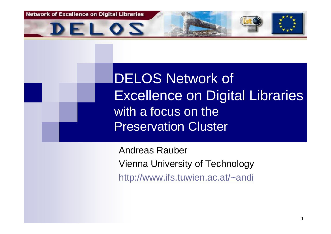**Network of Excellence on Digital Libraries** 



DELOS Network of Excellence on Digital Libraries with a focus on the Preservation Cluster

Andreas Rauber Vienna University of Technology http://www.ifs.tuwien.ac.at/~andi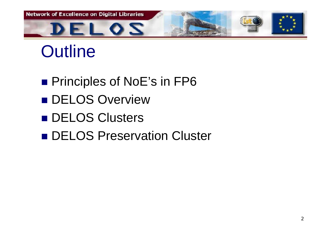

## **Outline**

- Principles of NoE's in FP6
- **DELOS Overview**
- **DELOS Clusters**
- **DELOS Preservation Cluster**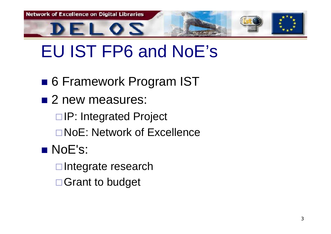

## EU IST FP6 and NoE's

- 6 Framework Program IST
- 2 new measures:
	- □IP: Integrated Project
	- NoE: Network of Excellence
- NoE's:
	- $\square$ Integrate research
	- □ Grant to budget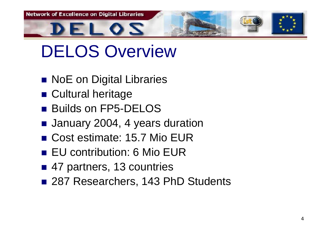

### DELOS Overview

- **NoE on Digital Libraries**
- **E** Cultural heritage
- Builds on FP5-DELOS
- January 2004, 4 years duration
- Cost estimate: 15.7 Mio EUR
- EU contribution: 6 Mio EUR
- 47 partners, 13 countries
- 287 Researchers, 143 PhD Students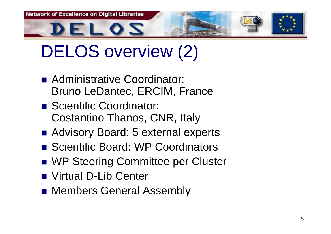**Network of Excellence on Digital Libraries** EL 02

# DELOS overview (2)

- Administrative Coordinator: Bruno LeDantec, ERCIM, France
- Scientific Coordinator: Costantino Thanos, CNR, Italy
- Advisory Board: 5 external experts
- Scientific Board: WP Coordinators
- WP Steering Committee per Cluster
- Virtual D-Lib Center
- **Rembers General Assembly**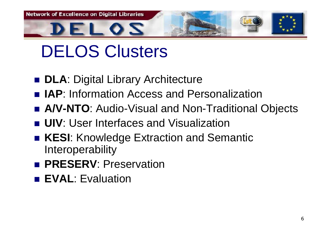

# DELOS Clusters

- **DLA**: Digital Library Architecture
- IAP: Information Access and Personalization
- A/V-NTO: Audio-Visual and Non-Traditional Objects
- **UIV**: User Interfaces and Visualization
- **KESI:** Knowledge Extraction and Semantic **Interoperability**
- **PRESERV: Preservation**
- EVAL: Evaluation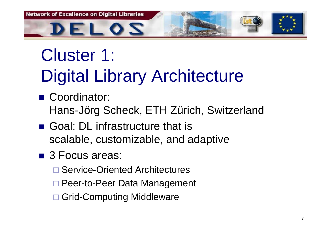

# Cluster 1: Digital Library Architecture

- Coordinator: Hans-Jörg Scheck, ETH Zürich, Switzerland
- Goal: DL infrastructure that is scalable, customizable, and adaptive
- 3 Focus areas:
	- □ Service-Oriented Architectures
	- □ Peer-to-Peer Data Management
	- □ Grid-Computing Middleware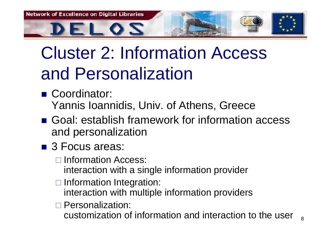

# Cluster 2: Information Access and Personalization

- Coordinator: Yannis Ioannidis, Univ. of Athens, Greece
- Goal: establish framework for information access and personalization
- 3 Focus areas:
	- **□ Information Access:** 
		- interaction with a single information provider
	- □ Information Integration:
		- interaction with multiple information providers
	- □ Personalization:
		- customization of information and interaction to the user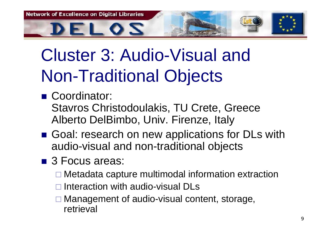

# Cluster 3: Audio-Visual and Non-Traditional Objects

- Coordinator: Stavros Christodoulakis, TU Crete, Greece Alberto DelBimbo, Univ. Firenze, Italy
- Goal: research on new applications for DLs with audio-visual and non-traditional objects
- 3 Focus areas:
	- □ Metadata capture multimodal information extraction
	- □ Interaction with audio-visual DLs
	- □ Management of audio-visual content, storage, retrieval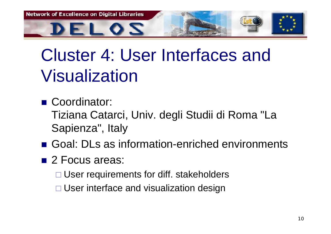

## Cluster 4: User Interfaces and Visualization

- Coordinator: Tiziana Catarci, Univ. degli Studii di Roma "La
	- Sapienza", Italy
- Goal: DLs as information-enriched environments
- 2 Focus areas:

□ User requirements for diff. stakeholders

□ User interface and visualization design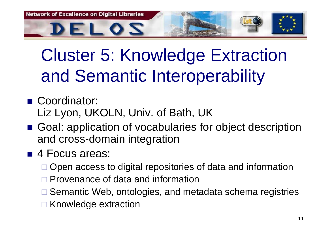

# Cluster 5: Knowledge Extraction and Semantic Interoperability

- Coordinator: Liz Lyon, UKOLN, Univ. of Bath, UK
- Goal: application of vocabularies for object description and cross-domain integration
- 4 Focus areas:
	- □ Open access to digital repositories of data and information
	- □ Provenance of data and information
	- □ Semantic Web, ontologies, and metadata schema registries
	- □ Knowledge extraction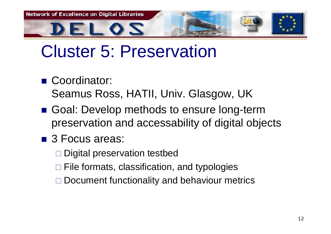

#### Cluster 5: Preservation

■ Coordinator:

Seamus Ross, HATII, Univ. Glasgow, UK

- Goal: Develop methods to ensure long-term preservation and accessability of digital objects
- 3 Focus areas:

□ Digital preservation testbed

□ File formats, classification, and typologies

□ Document functionality and behaviour metrics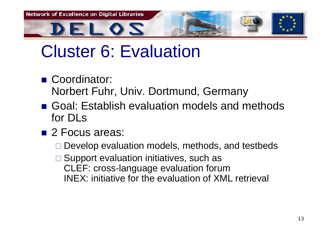

### Cluster 6: Evaluation

- Coordinator: Norbert Fuhr, Univ. Dortmund, Germany
- Goal: Establish evaluation models and methods for DLs
- 2 Focus areas:
	- □ Develop evaluation models, methods, and testbeds
	- □ Support evaluation initiatives, such as CLEF: cross-language evaluation forum INEX: initiative for the evaluation of XML retrieval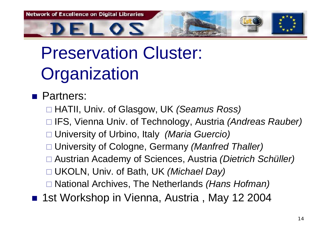**Network of Excellence on Digital Libraries** 

# Preservation Cluster: **Organization**

EL 0*2* 

**Partners:** 

HATII, Univ. of Glasgow, UK *(Seamus Ross)*

IFS, Vienna Univ. of Technology, Austria *(Andreas Rauber)*

- University of Urbino, Italy *(Maria Guercio)*
- University of Cologne, Germany *(Manfred Thaller)*
- Austrian Academy of Sciences, Austria *(Dietrich Schüller)*
- UKOLN, Univ. of Bath, UK *(Michael Day)*
- National Archives, The Netherlands *(Hans Hofman)*
- 1st Workshop in Vienna, Austria, May 12 2004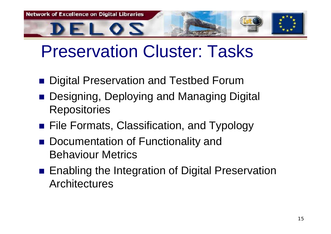

#### Preservation Cluster: Tasks

- Digital Preservation and Testbed Forum
- Designing, Deploying and Managing Digital **Repositories**
- **File Formats, Classification, and Typology**
- Documentation of Functionality and Behaviour Metrics
- Enabling the Integration of Digital Preservation **Architectures**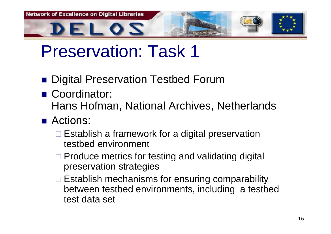**Network of Excellence on Digital Libraries** ELOS

- Digital Preservation Testbed Forum
- Coordinator: Hans Hofman, National Archives, Netherlands
- Actions:
	- $\square$  Establish a framework for a digital preservation testbed environment
	- □ Produce metrics for testing and validating digital preservation strategies
	- $\square$  Establish mechanisms for ensuring comparability between testbed environments, including a testbed test data set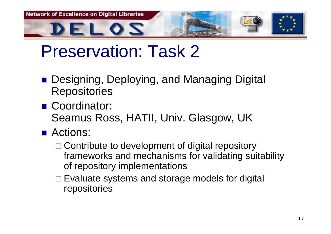**Network of Excellence on Digital Libraries** ELOS

- Designing, Deploying, and Managing Digital **Repositories**
- Coordinator: Seamus Ross, HATII, Univ. Glasgow, UK
- Actions:
	- □ Contribute to development of digital repository frameworks and mechanisms for validating suitability of repository implementations
	- □ Evaluate systems and storage models for digital repositories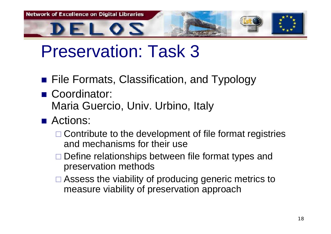

- **File Formats, Classification, and Typology**
- Coordinator: Maria Guercio, Univ. Urbino, Italy
- Actions:
	- □ Contribute to the development of file format registries and mechanisms for their use
	- □ Define relationships between file format types and preservation methods
	- □ Assess the viability of producing generic metrics to measure viability of preservation approach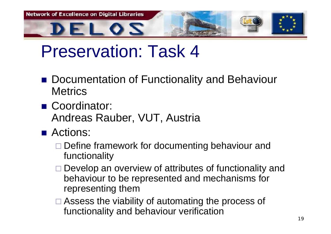

- Documentation of Functionality and Behaviour **Metrics**
- Coordinator: Andreas Rauber, VUT, Austria
- Actions:
	- □ Define framework for documenting behaviour and functionality
	- □ Develop an overview of attributes of functionality and behaviour to be represented and mechanisms for representing them
	- □ Assess the viability of automating the process of functionality and behaviour verification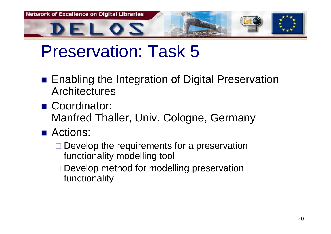**Network of Excellence on Digital Libraries** EL 0*2* 

- Enabling the Integration of Digital Preservation **Architectures**
- Coordinator: Manfred Thaller, Univ. Cologne, Germany
- Actions:
	- $\square$  Develop the requirements for a preservation functionality modelling tool
	- □ Develop method for modelling preservation functionality